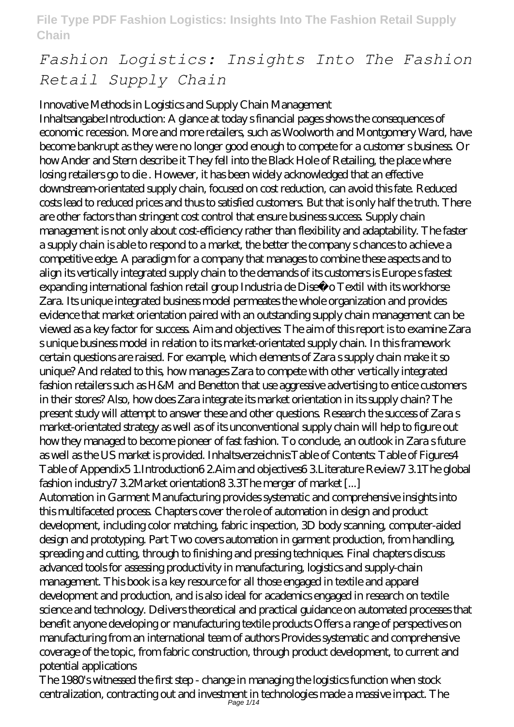# *Fashion Logistics: Insights Into The Fashion Retail Supply Chain*

Innovative Methods in Logistics and Supply Chain Management Inhaltsangabe:Introduction: A glance at today s financial pages shows the consequences of economic recession. More and more retailers, such as Woolworth and Montgomery Ward, have become bankrupt as they were no longer good enough to compete for a customer s business. Or how Ander and Stern describe it They fell into the Black Hole of Retailing, the place where losing retailers go to die . However, it has been widely acknowledged that an effective downstream-orientated supply chain, focused on cost reduction, can avoid this fate. Reduced costs lead to reduced prices and thus to satisfied customers. But that is only half the truth. There are other factors than stringent cost control that ensure business success. Supply chain management is not only about cost-efficiency rather than flexibility and adaptability. The faster a supply chain is able to respond to a market, the better the company s chances to achieve a competitive edge. A paradigm for a company that manages to combine these aspects and to align its vertically integrated supply chain to the demands of its customers is Europe s fastest expanding international fashion retail group Industria de Diseñ o Textil with its workhorse Zara. Its unique integrated business model permeates the whole organization and provides evidence that market orientation paired with an outstanding supply chain management can be viewed as a key factor for success. Aim and objectives: The aim of this report is to examine Zara s unique business model in relation to its market-orientated supply chain. In this framework certain questions are raised. For example, which elements of Zara s supply chain make it so unique? And related to this, how manages Zara to compete with other vertically integrated fashion retailers such as H&M and Benetton that use aggressive advertising to entice customers in their stores? Also, how does Zara integrate its market orientation in its supply chain? The present study will attempt to answer these and other questions. Research the success of Zara s market-orientated strategy as well as of its unconventional supply chain will help to figure out how they managed to become pioneer of fast fashion. To conclude, an outlook in Zara s future as well as the US market is provided. Inhaltsverzeichnis:Table of Contents: Table of Figures4 Table of Appendix5 1.Introduction6 2.Aim and objectives6 3.Literature Review7 3.1The global fashion industry7 3.2Market orientation8 3.3The merger of market [...] Automation in Garment Manufacturing provides systematic and comprehensive insights into this multifaceted process. Chapters cover the role of automation in design and product development, including color matching, fabric inspection, 3D body scanning, computer-aided design and prototyping. Part Two covers automation in garment production, from handling, spreading and cutting, through to finishing and pressing techniques. Final chapters discuss advanced tools for assessing productivity in manufacturing, logistics and supply-chain management. This book is a key resource for all those engaged in textile and apparel development and production, and is also ideal for academics engaged in research on textile science and technology. Delivers theoretical and practical guidance on automated processes that benefit anyone developing or manufacturing textile products Offers a range of perspectives on manufacturing from an international team of authors Provides systematic and comprehensive coverage of the topic, from fabric construction, through product development, to current and

potential applications The 1980's witnessed the first step - change in managing the logistics function when stock centralization, contracting out and investment in technologies made a massive impact. The Page 1/14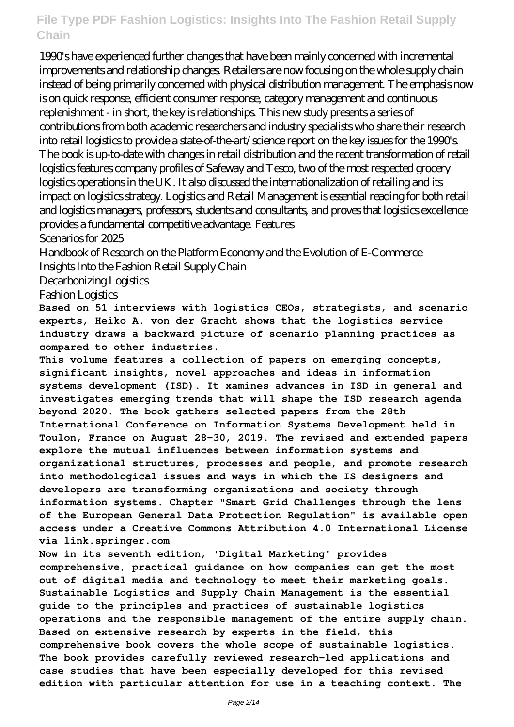1990's have experienced further changes that have been mainly concerned with incremental improvements and relationship changes. Retailers are now focusing on the whole supply chain instead of being primarily concerned with physical distribution management. The emphasis now is on quick response, efficient consumer response, category management and continuous replenishment - in short, the key is relationships. This new study presents a series of contributions from both academic researchers and industry specialists who share their research into retail logistics to provide a state-of-the-art/science report on the key issues for the 1990's. The book is up-to-date with changes in retail distribution and the recent transformation of retail logistics features company profiles of Safeway and Tesco, two of the most respected grocery logistics operations in the UK. It also discussed the internationalization of retailing and its impact on logistics strategy. Logistics and Retail Management is essential reading for both retail and logistics managers, professors, students and consultants, and proves that logistics excellence provides a fundamental competitive advantage. Features

Scenarios for 2025

Handbook of Research on the Platform Economy and the Evolution of E-Commerce Insights Into the Fashion Retail Supply Chain

Decarbonizing Logistics

Fashion Logistics

**Based on 51 interviews with logistics CEOs, strategists, and scenario experts, Heiko A. von der Gracht shows that the logistics service industry draws a backward picture of scenario planning practices as compared to other industries.**

**This volume features a collection of papers on emerging concepts, significant insights, novel approaches and ideas in information systems development (ISD). It xamines advances in ISD in general and investigates emerging trends that will shape the ISD research agenda beyond 2020. The book gathers selected papers from the 28th International Conference on Information Systems Development held in Toulon, France on August 28-30, 2019. The revised and extended papers explore the mutual influences between information systems and organizational structures, processes and people, and promote research into methodological issues and ways in which the IS designers and developers are transforming organizations and society through information systems. Chapter "Smart Grid Challenges through the lens of the European General Data Protection Regulation" is available open access under a Creative Commons Attribution 4.0 International License via link.springer.com**

**Now in its seventh edition, 'Digital Marketing' provides comprehensive, practical guidance on how companies can get the most out of digital media and technology to meet their marketing goals. Sustainable Logistics and Supply Chain Management is the essential guide to the principles and practices of sustainable logistics operations and the responsible management of the entire supply chain. Based on extensive research by experts in the field, this comprehensive book covers the whole scope of sustainable logistics. The book provides carefully reviewed research-led applications and case studies that have been especially developed for this revised edition with particular attention for use in a teaching context. The**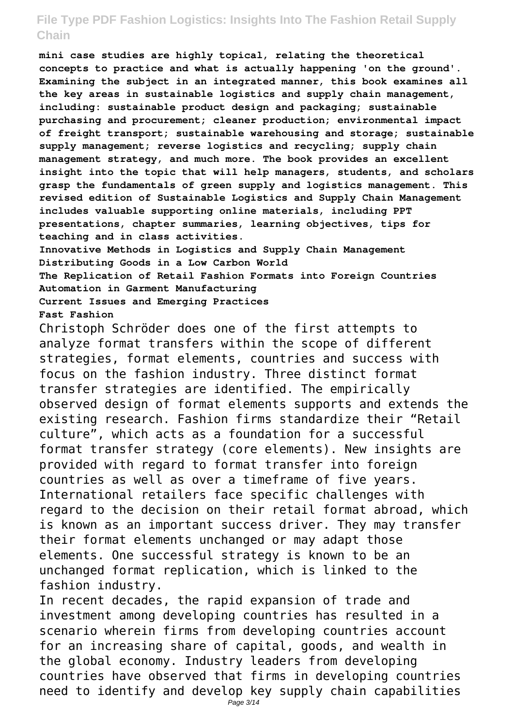**mini case studies are highly topical, relating the theoretical concepts to practice and what is actually happening 'on the ground'. Examining the subject in an integrated manner, this book examines all the key areas in sustainable logistics and supply chain management, including: sustainable product design and packaging; sustainable purchasing and procurement; cleaner production; environmental impact of freight transport; sustainable warehousing and storage; sustainable supply management; reverse logistics and recycling; supply chain management strategy, and much more. The book provides an excellent insight into the topic that will help managers, students, and scholars grasp the fundamentals of green supply and logistics management. This revised edition of Sustainable Logistics and Supply Chain Management includes valuable supporting online materials, including PPT presentations, chapter summaries, learning objectives, tips for teaching and in class activities.**

**Innovative Methods in Logistics and Supply Chain Management Distributing Goods in a Low Carbon World The Replication of Retail Fashion Formats into Foreign Countries Automation in Garment Manufacturing Current Issues and Emerging Practices Fast Fashion**

Christoph Schröder does one of the first attempts to analyze format transfers within the scope of different strategies, format elements, countries and success with focus on the fashion industry. Three distinct format transfer strategies are identified. The empirically observed design of format elements supports and extends the existing research. Fashion firms standardize their "Retail culture", which acts as a foundation for a successful format transfer strategy (core elements). New insights are provided with regard to format transfer into foreign countries as well as over a timeframe of five years. International retailers face specific challenges with regard to the decision on their retail format abroad, which is known as an important success driver. They may transfer their format elements unchanged or may adapt those elements. One successful strategy is known to be an unchanged format replication, which is linked to the fashion industry.

In recent decades, the rapid expansion of trade and investment among developing countries has resulted in a scenario wherein firms from developing countries account for an increasing share of capital, goods, and wealth in the global economy. Industry leaders from developing countries have observed that firms in developing countries need to identify and develop key supply chain capabilities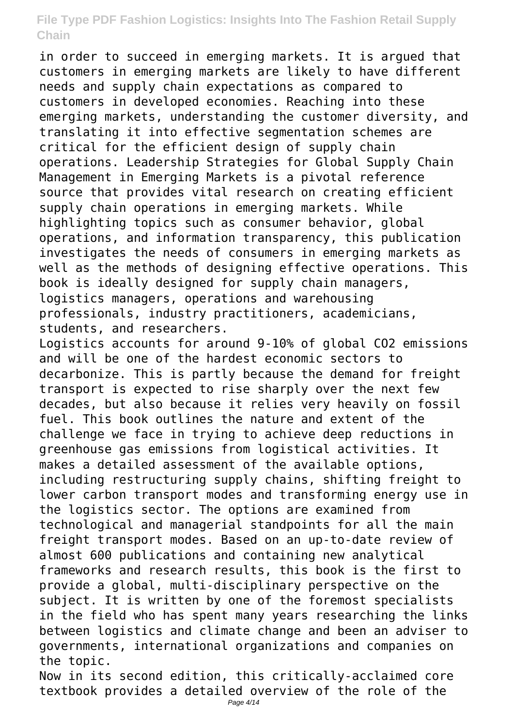in order to succeed in emerging markets. It is argued that customers in emerging markets are likely to have different needs and supply chain expectations as compared to customers in developed economies. Reaching into these emerging markets, understanding the customer diversity, and translating it into effective segmentation schemes are critical for the efficient design of supply chain operations. Leadership Strategies for Global Supply Chain Management in Emerging Markets is a pivotal reference source that provides vital research on creating efficient supply chain operations in emerging markets. While highlighting topics such as consumer behavior, global operations, and information transparency, this publication investigates the needs of consumers in emerging markets as well as the methods of designing effective operations. This book is ideally designed for supply chain managers, logistics managers, operations and warehousing professionals, industry practitioners, academicians, students, and researchers. Logistics accounts for around 9-10% of global CO2 emissions

and will be one of the hardest economic sectors to decarbonize. This is partly because the demand for freight transport is expected to rise sharply over the next few decades, but also because it relies very heavily on fossil fuel. This book outlines the nature and extent of the challenge we face in trying to achieve deep reductions in greenhouse gas emissions from logistical activities. It makes a detailed assessment of the available options, including restructuring supply chains, shifting freight to lower carbon transport modes and transforming energy use in the logistics sector. The options are examined from technological and managerial standpoints for all the main freight transport modes. Based on an up-to-date review of almost 600 publications and containing new analytical frameworks and research results, this book is the first to provide a global, multi-disciplinary perspective on the subject. It is written by one of the foremost specialists in the field who has spent many years researching the links between logistics and climate change and been an adviser to governments, international organizations and companies on the topic.

Now in its second edition, this critically-acclaimed core textbook provides a detailed overview of the role of the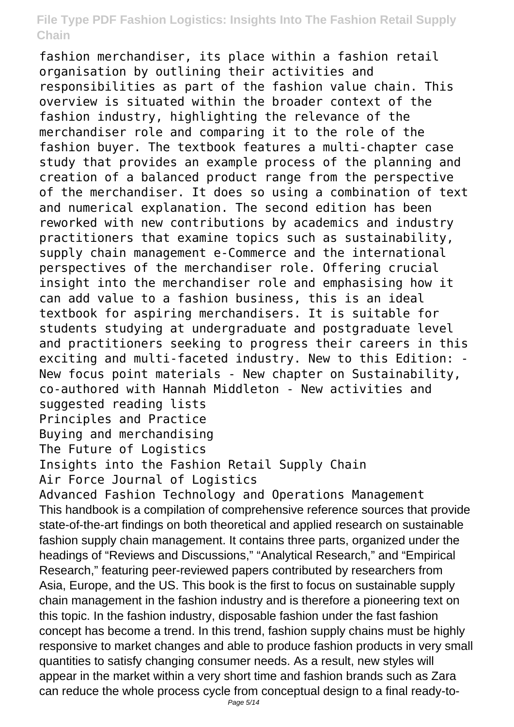fashion merchandiser, its place within a fashion retail organisation by outlining their activities and responsibilities as part of the fashion value chain. This overview is situated within the broader context of the fashion industry, highlighting the relevance of the merchandiser role and comparing it to the role of the fashion buyer. The textbook features a multi-chapter case study that provides an example process of the planning and creation of a balanced product range from the perspective of the merchandiser. It does so using a combination of text and numerical explanation. The second edition has been reworked with new contributions by academics and industry practitioners that examine topics such as sustainability, supply chain management e-Commerce and the international perspectives of the merchandiser role. Offering crucial insight into the merchandiser role and emphasising how it can add value to a fashion business, this is an ideal textbook for aspiring merchandisers. It is suitable for students studying at undergraduate and postgraduate level and practitioners seeking to progress their careers in this exciting and multi-faceted industry. New to this Edition: - New focus point materials - New chapter on Sustainability, co-authored with Hannah Middleton - New activities and suggested reading lists Principles and Practice

Buying and merchandising

The Future of Logistics

Insights into the Fashion Retail Supply Chain

Air Force Journal of Logistics

Advanced Fashion Technology and Operations Management This handbook is a compilation of comprehensive reference sources that provide state-of-the-art findings on both theoretical and applied research on sustainable fashion supply chain management. It contains three parts, organized under the headings of "Reviews and Discussions," "Analytical Research," and "Empirical Research," featuring peer-reviewed papers contributed by researchers from Asia, Europe, and the US. This book is the first to focus on sustainable supply chain management in the fashion industry and is therefore a pioneering text on this topic. In the fashion industry, disposable fashion under the fast fashion concept has become a trend. In this trend, fashion supply chains must be highly responsive to market changes and able to produce fashion products in very small quantities to satisfy changing consumer needs. As a result, new styles will appear in the market within a very short time and fashion brands such as Zara can reduce the whole process cycle from conceptual design to a final ready-to-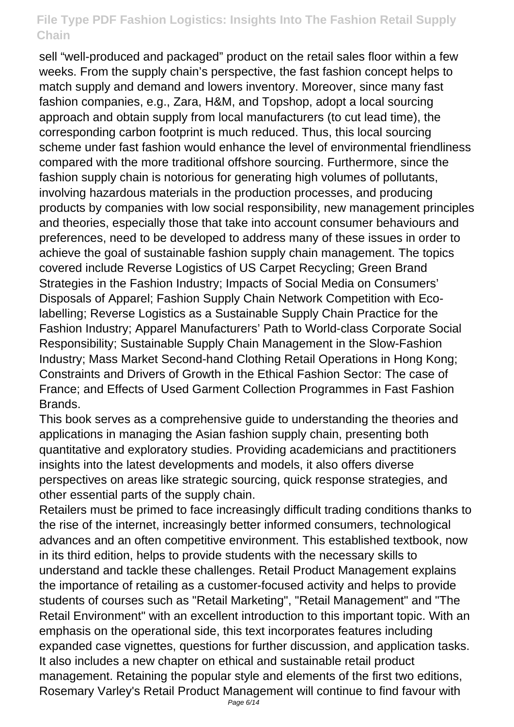sell "well-produced and packaged" product on the retail sales floor within a few weeks. From the supply chain's perspective, the fast fashion concept helps to match supply and demand and lowers inventory. Moreover, since many fast fashion companies, e.g., Zara, H&M, and Topshop, adopt a local sourcing approach and obtain supply from local manufacturers (to cut lead time), the corresponding carbon footprint is much reduced. Thus, this local sourcing scheme under fast fashion would enhance the level of environmental friendliness compared with the more traditional offshore sourcing. Furthermore, since the fashion supply chain is notorious for generating high volumes of pollutants, involving hazardous materials in the production processes, and producing products by companies with low social responsibility, new management principles and theories, especially those that take into account consumer behaviours and preferences, need to be developed to address many of these issues in order to achieve the goal of sustainable fashion supply chain management. The topics covered include Reverse Logistics of US Carpet Recycling; Green Brand Strategies in the Fashion Industry; Impacts of Social Media on Consumers' Disposals of Apparel; Fashion Supply Chain Network Competition with Ecolabelling; Reverse Logistics as a Sustainable Supply Chain Practice for the Fashion Industry; Apparel Manufacturers' Path to World-class Corporate Social Responsibility; Sustainable Supply Chain Management in the Slow-Fashion Industry; Mass Market Second-hand Clothing Retail Operations in Hong Kong; Constraints and Drivers of Growth in the Ethical Fashion Sector: The case of France; and Effects of Used Garment Collection Programmes in Fast Fashion Brands.

This book serves as a comprehensive guide to understanding the theories and applications in managing the Asian fashion supply chain, presenting both quantitative and exploratory studies. Providing academicians and practitioners insights into the latest developments and models, it also offers diverse perspectives on areas like strategic sourcing, quick response strategies, and other essential parts of the supply chain.

Retailers must be primed to face increasingly difficult trading conditions thanks to the rise of the internet, increasingly better informed consumers, technological advances and an often competitive environment. This established textbook, now in its third edition, helps to provide students with the necessary skills to understand and tackle these challenges. Retail Product Management explains the importance of retailing as a customer-focused activity and helps to provide students of courses such as "Retail Marketing", "Retail Management" and "The Retail Environment" with an excellent introduction to this important topic. With an emphasis on the operational side, this text incorporates features including expanded case vignettes, questions for further discussion, and application tasks. It also includes a new chapter on ethical and sustainable retail product management. Retaining the popular style and elements of the first two editions, Rosemary Varley's Retail Product Management will continue to find favour with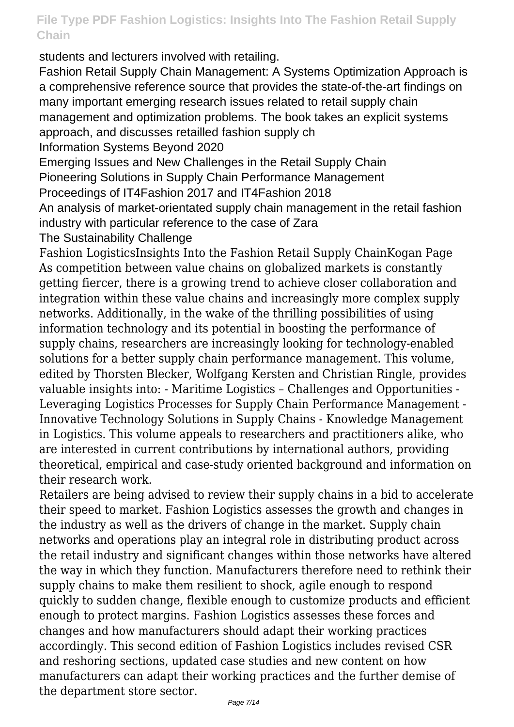students and lecturers involved with retailing.

Fashion Retail Supply Chain Management: A Systems Optimization Approach is a comprehensive reference source that provides the state-of-the-art findings on many important emerging research issues related to retail supply chain management and optimization problems. The book takes an explicit systems approach, and discusses retailled fashion supply ch

Information Systems Beyond 2020

Emerging Issues and New Challenges in the Retail Supply Chain Pioneering Solutions in Supply Chain Performance Management

Proceedings of IT4Fashion 2017 and IT4Fashion 2018

An analysis of market-orientated supply chain management in the retail fashion industry with particular reference to the case of Zara

The Sustainability Challenge

Fashion LogisticsInsights Into the Fashion Retail Supply ChainKogan Page As competition between value chains on globalized markets is constantly getting fiercer, there is a growing trend to achieve closer collaboration and integration within these value chains and increasingly more complex supply networks. Additionally, in the wake of the thrilling possibilities of using information technology and its potential in boosting the performance of supply chains, researchers are increasingly looking for technology-enabled solutions for a better supply chain performance management. This volume, edited by Thorsten Blecker, Wolfgang Kersten and Christian Ringle, provides valuable insights into: - Maritime Logistics – Challenges and Opportunities - Leveraging Logistics Processes for Supply Chain Performance Management - Innovative Technology Solutions in Supply Chains - Knowledge Management in Logistics. This volume appeals to researchers and practitioners alike, who are interested in current contributions by international authors, providing theoretical, empirical and case-study oriented background and information on their research work.

Retailers are being advised to review their supply chains in a bid to accelerate their speed to market. Fashion Logistics assesses the growth and changes in the industry as well as the drivers of change in the market. Supply chain networks and operations play an integral role in distributing product across the retail industry and significant changes within those networks have altered the way in which they function. Manufacturers therefore need to rethink their supply chains to make them resilient to shock, agile enough to respond quickly to sudden change, flexible enough to customize products and efficient enough to protect margins. Fashion Logistics assesses these forces and changes and how manufacturers should adapt their working practices accordingly. This second edition of Fashion Logistics includes revised CSR and reshoring sections, updated case studies and new content on how manufacturers can adapt their working practices and the further demise of the department store sector.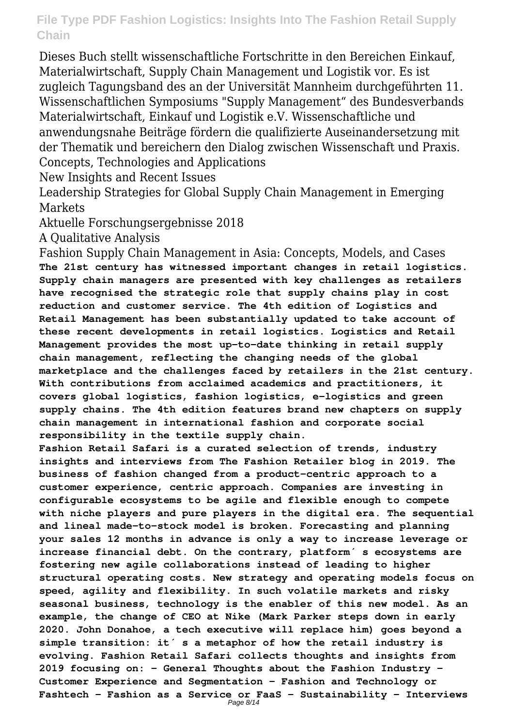Dieses Buch stellt wissenschaftliche Fortschritte in den Bereichen Einkauf, Materialwirtschaft, Supply Chain Management und Logistik vor. Es ist zugleich Tagungsband des an der Universität Mannheim durchgeführten 11. Wissenschaftlichen Symposiums "Supply Management" des Bundesverbands Materialwirtschaft, Einkauf und Logistik e.V. Wissenschaftliche und anwendungsnahe Beiträge fördern die qualifizierte Auseinandersetzung mit der Thematik und bereichern den Dialog zwischen Wissenschaft und Praxis. Concepts, Technologies and Applications

New Insights and Recent Issues

Leadership Strategies for Global Supply Chain Management in Emerging Markets

Aktuelle Forschungsergebnisse 2018

A Qualitative Analysis

Fashion Supply Chain Management in Asia: Concepts, Models, and Cases **The 21st century has witnessed important changes in retail logistics. Supply chain managers are presented with key challenges as retailers have recognised the strategic role that supply chains play in cost reduction and customer service. The 4th edition of Logistics and Retail Management has been substantially updated to take account of these recent developments in retail logistics. Logistics and Retail Management provides the most up-to-date thinking in retail supply chain management, reflecting the changing needs of the global marketplace and the challenges faced by retailers in the 21st century. With contributions from acclaimed academics and practitioners, it covers global logistics, fashion logistics, e-logistics and green supply chains. The 4th edition features brand new chapters on supply chain management in international fashion and corporate social responsibility in the textile supply chain.**

**Fashion Retail Safari is a curated selection of trends, industry insights and interviews from The Fashion Retailer blog in 2019. The business of fashion changed from a product-centric approach to a customer experience, centric approach. Companies are investing in configurable ecosystems to be agile and flexible enough to compete with niche players and pure players in the digital era. The sequential and lineal made-to-stock model is broken. Forecasting and planning your sales 12 months in advance is only a way to increase leverage or** increase financial debt. On the contrary, platform<sup>'</sup> s ecosystems are **fostering new agile collaborations instead of leading to higher structural operating costs. New strategy and operating models focus on speed, agility and flexibility. In such volatile markets and risky seasonal business, technology is the enabler of this new model. As an example, the change of CEO at Nike (Mark Parker steps down in early 2020. John Donahoe, a tech executive will replace him) goes beyond a simple transition: it ́s a metaphor of how the retail industry is evolving. Fashion Retail Safari collects thoughts and insights from 2019 focusing on: - General Thoughts about the Fashion Industry - Customer Experience and Segmentation - Fashion and Technology or Fashtech - Fashion as a Service or FaaS - Sustainability - Interviews**

```
Page 8/14
```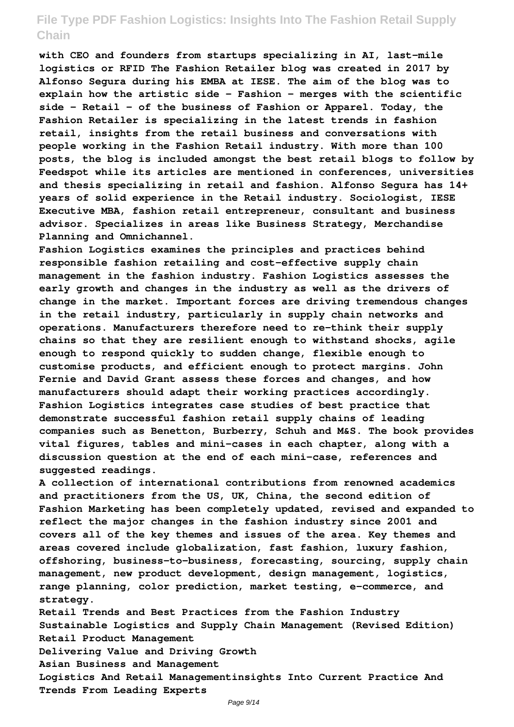**with CEO and founders from startups specializing in AI, last-mile logistics or RFID The Fashion Retailer blog was created in 2017 by Alfonso Segura during his EMBA at IESE. The aim of the blog was to explain how the artistic side - Fashion - merges with the scientific side - Retail - of the business of Fashion or Apparel. Today, the Fashion Retailer is specializing in the latest trends in fashion retail, insights from the retail business and conversations with people working in the Fashion Retail industry. With more than 100 posts, the blog is included amongst the best retail blogs to follow by Feedspot while its articles are mentioned in conferences, universities and thesis specializing in retail and fashion. Alfonso Segura has 14+ years of solid experience in the Retail industry. Sociologist, IESE Executive MBA, fashion retail entrepreneur, consultant and business advisor. Specializes in areas like Business Strategy, Merchandise Planning and Omnichannel.**

**Fashion Logistics examines the principles and practices behind responsible fashion retailing and cost-effective supply chain management in the fashion industry. Fashion Logistics assesses the early growth and changes in the industry as well as the drivers of change in the market. Important forces are driving tremendous changes in the retail industry, particularly in supply chain networks and operations. Manufacturers therefore need to re-think their supply chains so that they are resilient enough to withstand shocks, agile enough to respond quickly to sudden change, flexible enough to customise products, and efficient enough to protect margins. John Fernie and David Grant assess these forces and changes, and how manufacturers should adapt their working practices accordingly. Fashion Logistics integrates case studies of best practice that demonstrate successful fashion retail supply chains of leading companies such as Benetton, Burberry, Schuh and M&S. The book provides vital figures, tables and mini-cases in each chapter, along with a discussion question at the end of each mini-case, references and suggested readings.**

**A collection of international contributions from renowned academics and practitioners from the US, UK, China, the second edition of Fashion Marketing has been completely updated, revised and expanded to reflect the major changes in the fashion industry since 2001 and covers all of the key themes and issues of the area. Key themes and areas covered include globalization, fast fashion, luxury fashion, offshoring, business-to-business, forecasting, sourcing, supply chain management, new product development, design management, logistics, range planning, color prediction, market testing, e-commerce, and strategy.**

**Retail Trends and Best Practices from the Fashion Industry Sustainable Logistics and Supply Chain Management (Revised Edition) Retail Product Management**

**Delivering Value and Driving Growth**

**Asian Business and Management**

**Logistics And Retail Managementinsights Into Current Practice And Trends From Leading Experts**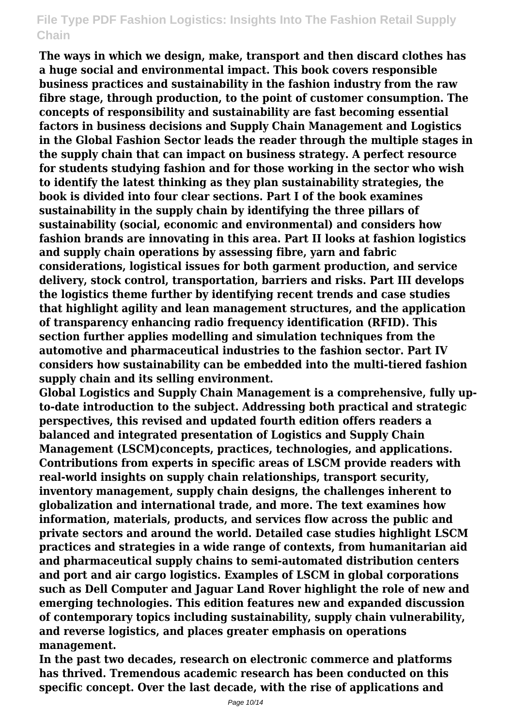**The ways in which we design, make, transport and then discard clothes has a huge social and environmental impact. This book covers responsible business practices and sustainability in the fashion industry from the raw fibre stage, through production, to the point of customer consumption. The concepts of responsibility and sustainability are fast becoming essential factors in business decisions and Supply Chain Management and Logistics in the Global Fashion Sector leads the reader through the multiple stages in the supply chain that can impact on business strategy. A perfect resource for students studying fashion and for those working in the sector who wish to identify the latest thinking as they plan sustainability strategies, the book is divided into four clear sections. Part I of the book examines sustainability in the supply chain by identifying the three pillars of sustainability (social, economic and environmental) and considers how fashion brands are innovating in this area. Part II looks at fashion logistics and supply chain operations by assessing fibre, yarn and fabric considerations, logistical issues for both garment production, and service delivery, stock control, transportation, barriers and risks. Part III develops the logistics theme further by identifying recent trends and case studies that highlight agility and lean management structures, and the application of transparency enhancing radio frequency identification (RFID). This section further applies modelling and simulation techniques from the automotive and pharmaceutical industries to the fashion sector. Part IV considers how sustainability can be embedded into the multi-tiered fashion supply chain and its selling environment.**

**Global Logistics and Supply Chain Management is a comprehensive, fully upto-date introduction to the subject. Addressing both practical and strategic perspectives, this revised and updated fourth edition offers readers a balanced and integrated presentation of Logistics and Supply Chain Management (LSCM)concepts, practices, technologies, and applications. Contributions from experts in specific areas of LSCM provide readers with real-world insights on supply chain relationships, transport security, inventory management, supply chain designs, the challenges inherent to globalization and international trade, and more. The text examines how information, materials, products, and services flow across the public and private sectors and around the world. Detailed case studies highlight LSCM practices and strategies in a wide range of contexts, from humanitarian aid and pharmaceutical supply chains to semi-automated distribution centers and port and air cargo logistics. Examples of LSCM in global corporations such as Dell Computer and Jaguar Land Rover highlight the role of new and emerging technologies. This edition features new and expanded discussion of contemporary topics including sustainability, supply chain vulnerability, and reverse logistics, and places greater emphasis on operations management.**

**In the past two decades, research on electronic commerce and platforms has thrived. Tremendous academic research has been conducted on this specific concept. Over the last decade, with the rise of applications and**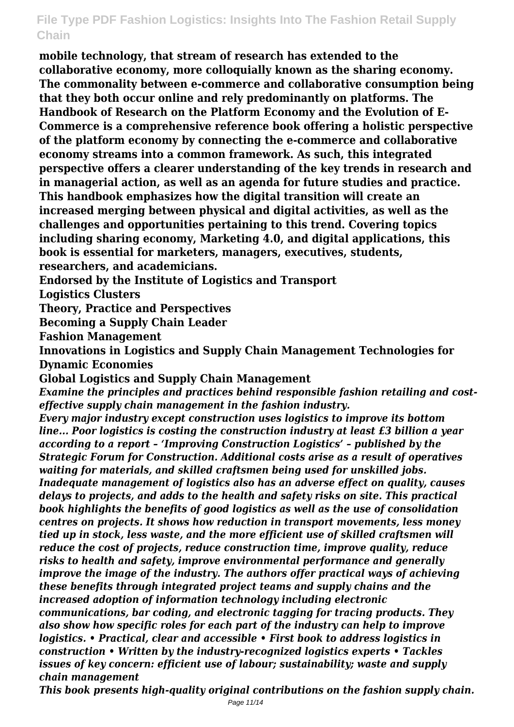**mobile technology, that stream of research has extended to the collaborative economy, more colloquially known as the sharing economy. The commonality between e-commerce and collaborative consumption being that they both occur online and rely predominantly on platforms. The Handbook of Research on the Platform Economy and the Evolution of E-Commerce is a comprehensive reference book offering a holistic perspective of the platform economy by connecting the e-commerce and collaborative economy streams into a common framework. As such, this integrated perspective offers a clearer understanding of the key trends in research and in managerial action, as well as an agenda for future studies and practice. This handbook emphasizes how the digital transition will create an increased merging between physical and digital activities, as well as the challenges and opportunities pertaining to this trend. Covering topics including sharing economy, Marketing 4.0, and digital applications, this book is essential for marketers, managers, executives, students, researchers, and academicians.**

**Endorsed by the Institute of Logistics and Transport**

**Logistics Clusters**

**Theory, Practice and Perspectives**

**Becoming a Supply Chain Leader**

**Fashion Management**

**Innovations in Logistics and Supply Chain Management Technologies for Dynamic Economies**

**Global Logistics and Supply Chain Management**

*Examine the principles and practices behind responsible fashion retailing and costeffective supply chain management in the fashion industry.*

*Every major industry except construction uses logistics to improve its bottom line... Poor logistics is costing the construction industry at least £3 billion a year according to a report – 'Improving Construction Logistics' – published by the Strategic Forum for Construction. Additional costs arise as a result of operatives waiting for materials, and skilled craftsmen being used for unskilled jobs. Inadequate management of logistics also has an adverse effect on quality, causes delays to projects, and adds to the health and safety risks on site. This practical book highlights the benefits of good logistics as well as the use of consolidation centres on projects. It shows how reduction in transport movements, less money tied up in stock, less waste, and the more efficient use of skilled craftsmen will reduce the cost of projects, reduce construction time, improve quality, reduce risks to health and safety, improve environmental performance and generally improve the image of the industry. The authors offer practical ways of achieving these benefits through integrated project teams and supply chains and the increased adoption of information technology including electronic*

*communications, bar coding, and electronic tagging for tracing products. They also show how specific roles for each part of the industry can help to improve logistics. • Practical, clear and accessible • First book to address logistics in construction • Written by the industry-recognized logistics experts • Tackles issues of key concern: efficient use of labour; sustainability; waste and supply chain management*

*This book presents high-quality original contributions on the fashion supply chain.*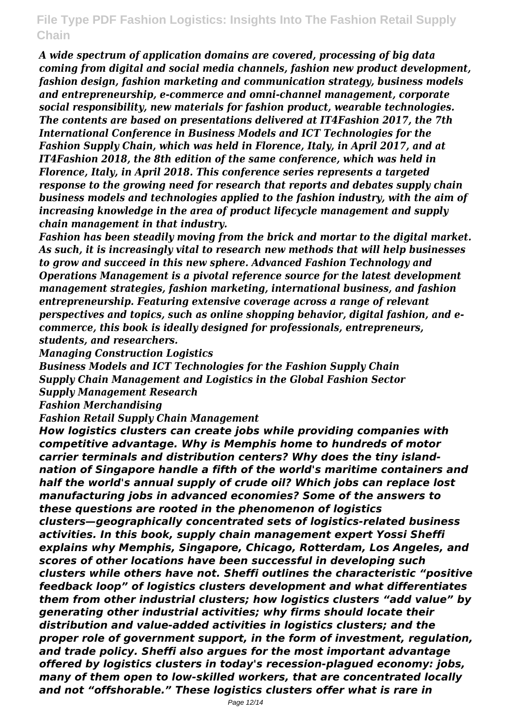*A wide spectrum of application domains are covered, processing of big data coming from digital and social media channels, fashion new product development, fashion design, fashion marketing and communication strategy, business models and entrepreneurship, e-commerce and omni-channel management, corporate social responsibility, new materials for fashion product, wearable technologies. The contents are based on presentations delivered at IT4Fashion 2017, the 7th International Conference in Business Models and ICT Technologies for the Fashion Supply Chain, which was held in Florence, Italy, in April 2017, and at IT4Fashion 2018, the 8th edition of the same conference, which was held in Florence, Italy, in April 2018. This conference series represents a targeted response to the growing need for research that reports and debates supply chain business models and technologies applied to the fashion industry, with the aim of increasing knowledge in the area of product lifecycle management and supply chain management in that industry.*

*Fashion has been steadily moving from the brick and mortar to the digital market. As such, it is increasingly vital to research new methods that will help businesses to grow and succeed in this new sphere. Advanced Fashion Technology and Operations Management is a pivotal reference source for the latest development management strategies, fashion marketing, international business, and fashion entrepreneurship. Featuring extensive coverage across a range of relevant perspectives and topics, such as online shopping behavior, digital fashion, and ecommerce, this book is ideally designed for professionals, entrepreneurs, students, and researchers.*

*Managing Construction Logistics*

*Business Models and ICT Technologies for the Fashion Supply Chain Supply Chain Management and Logistics in the Global Fashion Sector Supply Management Research*

*Fashion Merchandising*

*Fashion Retail Supply Chain Management*

*How logistics clusters can create jobs while providing companies with competitive advantage. Why is Memphis home to hundreds of motor carrier terminals and distribution centers? Why does the tiny islandnation of Singapore handle a fifth of the world's maritime containers and half the world's annual supply of crude oil? Which jobs can replace lost manufacturing jobs in advanced economies? Some of the answers to these questions are rooted in the phenomenon of logistics clusters—geographically concentrated sets of logistics-related business activities. In this book, supply chain management expert Yossi Sheffi explains why Memphis, Singapore, Chicago, Rotterdam, Los Angeles, and scores of other locations have been successful in developing such clusters while others have not. Sheffi outlines the characteristic "positive feedback loop" of logistics clusters development and what differentiates them from other industrial clusters; how logistics clusters "add value" by generating other industrial activities; why firms should locate their distribution and value-added activities in logistics clusters; and the proper role of government support, in the form of investment, regulation, and trade policy. Sheffi also argues for the most important advantage offered by logistics clusters in today's recession-plagued economy: jobs, many of them open to low-skilled workers, that are concentrated locally and not "offshorable." These logistics clusters offer what is rare in*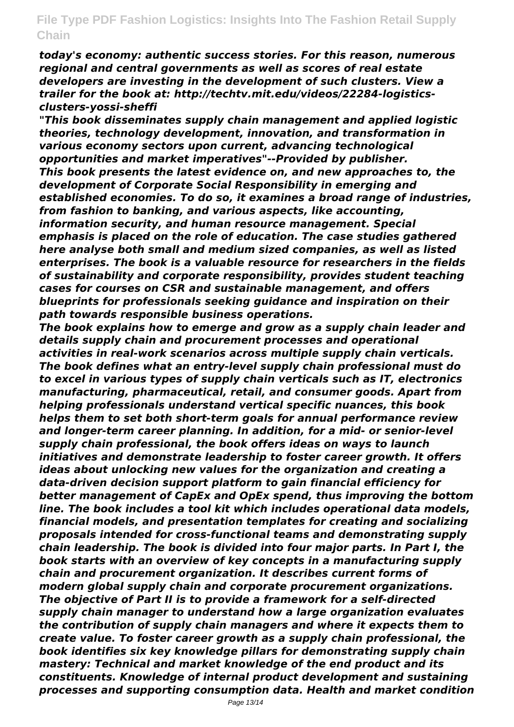*today's economy: authentic success stories. For this reason, numerous regional and central governments as well as scores of real estate developers are investing in the development of such clusters. View a trailer for the book at: http://techtv.mit.edu/videos/22284-logisticsclusters-yossi-sheffi*

*"This book disseminates supply chain management and applied logistic theories, technology development, innovation, and transformation in various economy sectors upon current, advancing technological opportunities and market imperatives"--Provided by publisher. This book presents the latest evidence on, and new approaches to, the development of Corporate Social Responsibility in emerging and established economies. To do so, it examines a broad range of industries, from fashion to banking, and various aspects, like accounting, information security, and human resource management. Special emphasis is placed on the role of education. The case studies gathered here analyse both small and medium sized companies, as well as listed enterprises. The book is a valuable resource for researchers in the fields of sustainability and corporate responsibility, provides student teaching cases for courses on CSR and sustainable management, and offers blueprints for professionals seeking guidance and inspiration on their path towards responsible business operations.*

*The book explains how to emerge and grow as a supply chain leader and details supply chain and procurement processes and operational activities in real-work scenarios across multiple supply chain verticals. The book defines what an entry-level supply chain professional must do to excel in various types of supply chain verticals such as IT, electronics manufacturing, pharmaceutical, retail, and consumer goods. Apart from helping professionals understand vertical specific nuances, this book helps them to set both short-term goals for annual performance review and longer-term career planning. In addition, for a mid- or senior-level supply chain professional, the book offers ideas on ways to launch initiatives and demonstrate leadership to foster career growth. It offers ideas about unlocking new values for the organization and creating a data-driven decision support platform to gain financial efficiency for better management of CapEx and OpEx spend, thus improving the bottom line. The book includes a tool kit which includes operational data models, financial models, and presentation templates for creating and socializing proposals intended for cross-functional teams and demonstrating supply chain leadership. The book is divided into four major parts. In Part I, the book starts with an overview of key concepts in a manufacturing supply chain and procurement organization. It describes current forms of modern global supply chain and corporate procurement organizations. The objective of Part II is to provide a framework for a self-directed supply chain manager to understand how a large organization evaluates the contribution of supply chain managers and where it expects them to create value. To foster career growth as a supply chain professional, the book identifies six key knowledge pillars for demonstrating supply chain mastery: Technical and market knowledge of the end product and its constituents. Knowledge of internal product development and sustaining processes and supporting consumption data. Health and market condition*